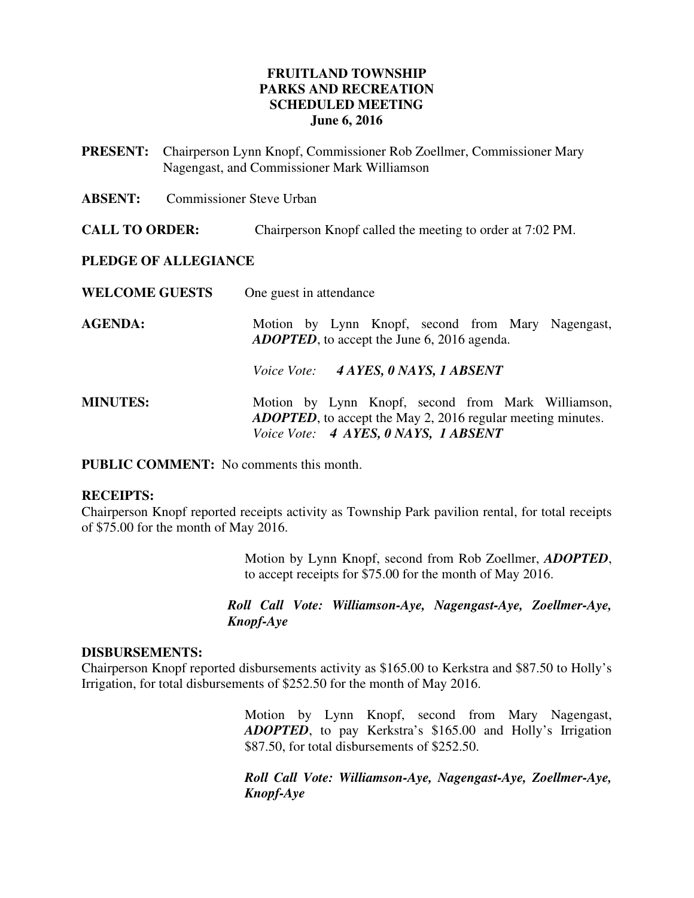#### **FRUITLAND TOWNSHIP PARKS AND RECREATION SCHEDULED MEETING June 6, 2016**

- **PRESENT:** Chairperson Lynn Knopf, Commissioner Rob Zoellmer, Commissioner Mary Nagengast, and Commissioner Mark Williamson
- **ABSENT:** Commissioner Steve Urban
- **CALL TO ORDER:** Chairperson Knopf called the meeting to order at 7:02 PM.

#### **PLEDGE OF ALLEGIANCE**

| <b>WELCOME GUESTS</b> | One guest in attendance                                                                                                                                           |
|-----------------------|-------------------------------------------------------------------------------------------------------------------------------------------------------------------|
| <b>AGENDA:</b>        | Motion by Lynn Knopf, second from Mary Nagengast,<br><b>ADOPTED</b> , to accept the June 6, 2016 agenda.                                                          |
|                       | Voice Vote: 4 AYES, 0 NAYS, 1 ABSENT                                                                                                                              |
| <b>MINUTES:</b>       | Motion by Lynn Knopf, second from Mark Williamson,<br><b>ADOPTED</b> , to accept the May 2, 2016 regular meeting minutes.<br>Voice Vote: 4 AYES, 0 NAYS, 1 ABSENT |

**PUBLIC COMMENT:** No comments this month.

#### **RECEIPTS:**

Chairperson Knopf reported receipts activity as Township Park pavilion rental, for total receipts of \$75.00 for the month of May 2016.

> Motion by Lynn Knopf, second from Rob Zoellmer, *ADOPTED*, to accept receipts for \$75.00 for the month of May 2016.

*Roll Call Vote: Williamson-Aye, Nagengast-Aye, Zoellmer-Aye, Knopf-Aye* 

#### **DISBURSEMENTS:**

Chairperson Knopf reported disbursements activity as \$165.00 to Kerkstra and \$87.50 to Holly's Irrigation, for total disbursements of \$252.50 for the month of May 2016.

> Motion by Lynn Knopf, second from Mary Nagengast, *ADOPTED*, to pay Kerkstra's \$165.00 and Holly's Irrigation \$87.50, for total disbursements of \$252.50.

> *Roll Call Vote: Williamson-Aye, Nagengast-Aye, Zoellmer-Aye, Knopf-Aye*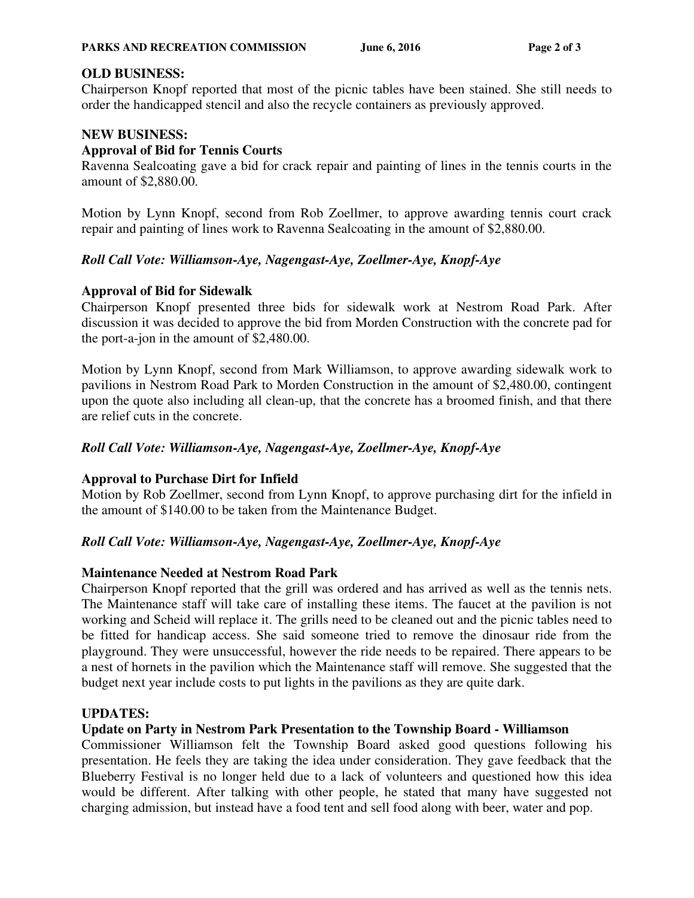# **OLD BUSINESS:**

Chairperson Knopf reported that most of the picnic tables have been stained. She still needs to order the handicapped stencil and also the recycle containers as previously approved.

# **NEW BUSINESS:**

## **Approval of Bid for Tennis Courts**

Ravenna Sealcoating gave a bid for crack repair and painting of lines in the tennis courts in the amount of \$2,880.00.

Motion by Lynn Knopf, second from Rob Zoellmer, to approve awarding tennis court crack repair and painting of lines work to Ravenna Sealcoating in the amount of \$2,880.00.

# *Roll Call Vote: Williamson-Aye, Nagengast-Aye, Zoellmer-Aye, Knopf-Aye*

# **Approval of Bid for Sidewalk**

Chairperson Knopf presented three bids for sidewalk work at Nestrom Road Park. After discussion it was decided to approve the bid from Morden Construction with the concrete pad for the port-a-jon in the amount of \$2,480.00.

Motion by Lynn Knopf, second from Mark Williamson, to approve awarding sidewalk work to pavilions in Nestrom Road Park to Morden Construction in the amount of \$2,480.00, contingent upon the quote also including all clean-up, that the concrete has a broomed finish, and that there are relief cuts in the concrete.

## *Roll Call Vote: Williamson-Aye, Nagengast-Aye, Zoellmer-Aye, Knopf-Aye*

### **Approval to Purchase Dirt for Infield**

Motion by Rob Zoellmer, second from Lynn Knopf, to approve purchasing dirt for the infield in the amount of \$140.00 to be taken from the Maintenance Budget.

### *Roll Call Vote: Williamson-Aye, Nagengast-Aye, Zoellmer-Aye, Knopf-Aye*

### **Maintenance Needed at Nestrom Road Park**

Chairperson Knopf reported that the grill was ordered and has arrived as well as the tennis nets. The Maintenance staff will take care of installing these items. The faucet at the pavilion is not working and Scheid will replace it. The grills need to be cleaned out and the picnic tables need to be fitted for handicap access. She said someone tried to remove the dinosaur ride from the playground. They were unsuccessful, however the ride needs to be repaired. There appears to be a nest of hornets in the pavilion which the Maintenance staff will remove. She suggested that the budget next year include costs to put lights in the pavilions as they are quite dark.

### **UPDATES:**

### **Update on Party in Nestrom Park Presentation to the Township Board - Williamson**

Commissioner Williamson felt the Township Board asked good questions following his presentation. He feels they are taking the idea under consideration. They gave feedback that the Blueberry Festival is no longer held due to a lack of volunteers and questioned how this idea would be different. After talking with other people, he stated that many have suggested not charging admission, but instead have a food tent and sell food along with beer, water and pop.